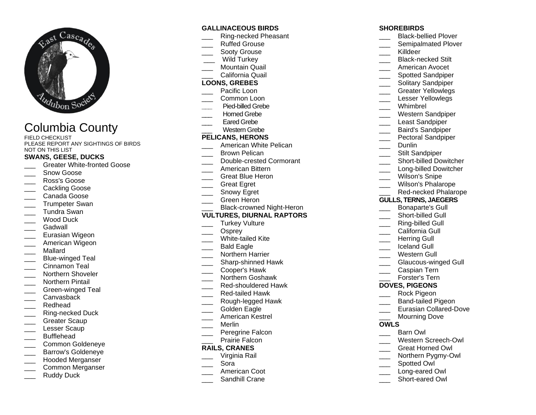

# Columbia County

FIELD CHECKLIST PLEASE REPORT ANY SIGHTINGS OF BIRDS NOT ON THIS LIST

# **SWANS, GEESE, DUCKS**

- Greater White-fronted Goose
- Snow Goose
- \_\_\_ Ross's Goose
- Cackling Goose
- \_\_\_ Canada Goose
- Trumpeter Swan
- \_\_\_ Tundra Swan
- Wood Duck
- Gadwall
- Eurasian Wigeon
- American Wigeon
- \_\_\_ Mallard
- Blue-winged Teal
- Cinnamon Teal
- Northern Shoveler
- \_\_\_ Northern Pintail
- Green-winged Teal
- Canvasback
- \_\_\_ Redhead
- Ring-necked Duck
- Greater Scaup
- Lesser Scaup
- \_\_\_ Bufflehead
- \_\_\_ Common Goldeneye
- \_\_\_ Barrow's Goldeneye
- \_\_\_ Hooded Merganser
- \_\_\_ Common Merganser
- Ruddy Duck

## **GALLINACEOUS BIRDS**

- \_\_\_ Ring-necked Pheasant
- Ruffed Grouse
- Sooty Grouse
- Wild Turkey
- Mountain Quail \_\_\_ California Quail
- **LOONS, GREBES**
- Pacific Loon
- Common Loon
- **\_\_\_** Pied-billed Grebe
- Horned Grebe
- Eared Grebe
- Western Grebe

#### **PELICANS, HERONS**

- American White Pelican
- Brown Pelican
- \_\_\_ Double-crested Cormorant
- \_\_\_ American Bittern
- \_\_\_ Great Blue Heron
- \_\_\_ Great Egret
- Snowy Egret
- \_\_\_ Green Heron
- Black-crowned Night-Heron

## **VULTURES, DIURNAL RAPTORS**

- Turkey Vulture
- Osprey
- White-tailed Kite
- Bald Eagle
- \_\_\_ Northern Harrier
- \_\_\_ Sharp-shinned Hawk
- \_\_\_ Cooper's Hawk
- \_\_\_ Northern Goshawk
- Red-shouldered Hawk
- \_\_\_ Red-tailed Hawk
- \_\_\_ Rough-legged Hawk
- Golden Eagle
- \_\_\_ American Kestrel
- \_\_\_ Merlin
- Peregrine Falcon
- Prairie Falcon

## **RAILS, CRANES**

- \_\_\_ Virginia Rail
- \_\_\_ Sora
- American Coot
- Sandhill Crane

# **SHOREBIRDS**

- \_\_\_ Black-bellied Plover Semipalmated Plover
- \_\_\_ Killdeer
- \_\_\_ Black-necked Stilt
- \_\_\_ American Avocet
- 
- \_\_\_ Spotted Sandpiper
- Solitary Sandpiper
- \_\_\_ Greater Yellowlegs
- Lesser Yellowlegs
- \_\_\_ Whimbrel
- \_\_\_ Western Sandpiper
- Least Sandpiper
- \_\_\_ Baird's Sandpiper
- Pectoral Sandpiper
- Dunlin
- Stilt Sandpiper
- Short-billed Dowitcher
- 
- Long-billed Dowitcher
- \_\_\_ Wilson's Snipe
- Wilson's Phalarope
- Red-necked Phalarope **GULLS, TERNS, JAEGERS**

\_\_\_ Bonaparte's Gull Short-billed Gull Ring-billed Gull California Gull Herring Gull \_\_\_ Iceland Gull Western Gull

Glaucous-winged Gull

\_\_\_ Caspian Tern \_\_\_ Forster's Tern **DOVES, PIGEONS** \_\_\_ Rock Pigeon Band-tailed Pigeon \_\_\_ Eurasian Collared-Dove

Mourning Dove

\_\_\_ Western Screech-Owl \_\_\_ Great Horned Owl Northern Pygmy-Owl

Barn Owl

Spotted Owl Long-eared Owl Short-eared Owl

**OWLS**